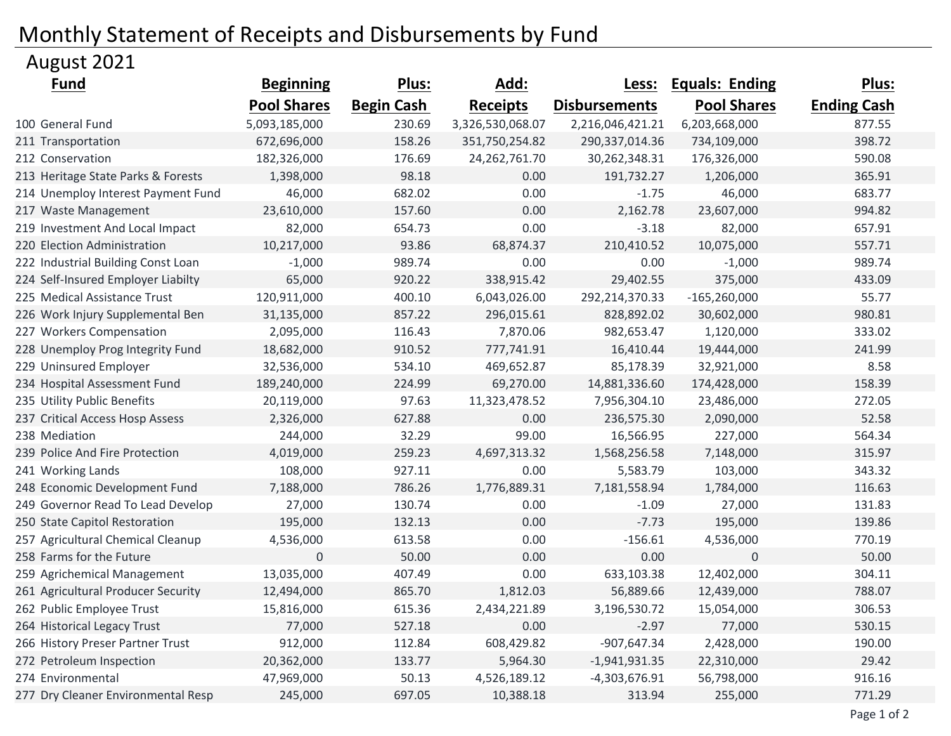## Monthly Statement of Receipts and Disbursements by Fund

## August 2021

| <u>Fund</u>                        | <b>Beginning</b>   | <u>Plus:</u>      | Add:             | <u>Less:</u>         | <b>Equals: Ending</b> | Plus:              |
|------------------------------------|--------------------|-------------------|------------------|----------------------|-----------------------|--------------------|
|                                    | <b>Pool Shares</b> | <b>Begin Cash</b> | <b>Receipts</b>  | <b>Disbursements</b> | <b>Pool Shares</b>    | <b>Ending Cash</b> |
| 100 General Fund                   | 5,093,185,000      | 230.69            | 3,326,530,068.07 | 2,216,046,421.21     | 6,203,668,000         | 877.55             |
| 211 Transportation                 | 672,696,000        | 158.26            | 351,750,254.82   | 290,337,014.36       | 734,109,000           | 398.72             |
| 212 Conservation                   | 182,326,000        | 176.69            | 24, 262, 761. 70 | 30,262,348.31        | 176,326,000           | 590.08             |
| 213 Heritage State Parks & Forests | 1,398,000          | 98.18             | 0.00             | 191,732.27           | 1,206,000             | 365.91             |
| 214 Unemploy Interest Payment Fund | 46,000             | 682.02            | 0.00             | $-1.75$              | 46,000                | 683.77             |
| 217 Waste Management               | 23,610,000         | 157.60            | 0.00             | 2,162.78             | 23,607,000            | 994.82             |
| 219 Investment And Local Impact    | 82,000             | 654.73            | 0.00             | $-3.18$              | 82,000                | 657.91             |
| 220 Election Administration        | 10,217,000         | 93.86             | 68,874.37        | 210,410.52           | 10,075,000            | 557.71             |
| 222 Industrial Building Const Loan | $-1,000$           | 989.74            | 0.00             | 0.00                 | $-1,000$              | 989.74             |
| 224 Self-Insured Employer Liabilty | 65,000             | 920.22            | 338,915.42       | 29,402.55            | 375,000               | 433.09             |
| 225 Medical Assistance Trust       | 120,911,000        | 400.10            | 6,043,026.00     | 292,214,370.33       | $-165,260,000$        | 55.77              |
| 226 Work Injury Supplemental Ben   | 31,135,000         | 857.22            | 296,015.61       | 828,892.02           | 30,602,000            | 980.81             |
| 227 Workers Compensation           | 2,095,000          | 116.43            | 7,870.06         | 982,653.47           | 1,120,000             | 333.02             |
| 228 Unemploy Prog Integrity Fund   | 18,682,000         | 910.52            | 777,741.91       | 16,410.44            | 19,444,000            | 241.99             |
| 229 Uninsured Employer             | 32,536,000         | 534.10            | 469,652.87       | 85,178.39            | 32,921,000            | 8.58               |
| 234 Hospital Assessment Fund       | 189,240,000        | 224.99            | 69,270.00        | 14,881,336.60        | 174,428,000           | 158.39             |
| 235 Utility Public Benefits        | 20,119,000         | 97.63             | 11,323,478.52    | 7,956,304.10         | 23,486,000            | 272.05             |
| 237 Critical Access Hosp Assess    | 2,326,000          | 627.88            | 0.00             | 236,575.30           | 2,090,000             | 52.58              |
| 238 Mediation                      | 244,000            | 32.29             | 99.00            | 16,566.95            | 227,000               | 564.34             |
| 239 Police And Fire Protection     | 4,019,000          | 259.23            | 4,697,313.32     | 1,568,256.58         | 7,148,000             | 315.97             |
| 241 Working Lands                  | 108,000            | 927.11            | 0.00             | 5,583.79             | 103,000               | 343.32             |
| 248 Economic Development Fund      | 7,188,000          | 786.26            | 1,776,889.31     | 7,181,558.94         | 1,784,000             | 116.63             |
| 249 Governor Read To Lead Develop  | 27,000             | 130.74            | 0.00             | $-1.09$              | 27,000                | 131.83             |
| 250 State Capitol Restoration      | 195,000            | 132.13            | 0.00             | $-7.73$              | 195,000               | 139.86             |
| 257 Agricultural Chemical Cleanup  | 4,536,000          | 613.58            | 0.00             | $-156.61$            | 4,536,000             | 770.19             |
| 258 Farms for the Future           | $\mathbf 0$        | 50.00             | 0.00             | 0.00                 | $\mathbf 0$           | 50.00              |
| 259 Agrichemical Management        | 13,035,000         | 407.49            | 0.00             | 633,103.38           | 12,402,000            | 304.11             |
| 261 Agricultural Producer Security | 12,494,000         | 865.70            | 1,812.03         | 56,889.66            | 12,439,000            | 788.07             |
| 262 Public Employee Trust          | 15,816,000         | 615.36            | 2,434,221.89     | 3,196,530.72         | 15,054,000            | 306.53             |
| 264 Historical Legacy Trust        | 77,000             | 527.18            | 0.00             | $-2.97$              | 77,000                | 530.15             |
| 266 History Preser Partner Trust   | 912,000            | 112.84            | 608,429.82       | $-907,647.34$        | 2,428,000             | 190.00             |
| 272 Petroleum Inspection           | 20,362,000         | 133.77            | 5,964.30         | $-1,941,931.35$      | 22,310,000            | 29.42              |
| 274 Environmental                  | 47,969,000         | 50.13             | 4,526,189.12     | $-4,303,676.91$      | 56,798,000            | 916.16             |
| 277 Dry Cleaner Environmental Resp | 245,000            | 697.05            | 10,388.18        | 313.94               | 255,000               | 771.29             |